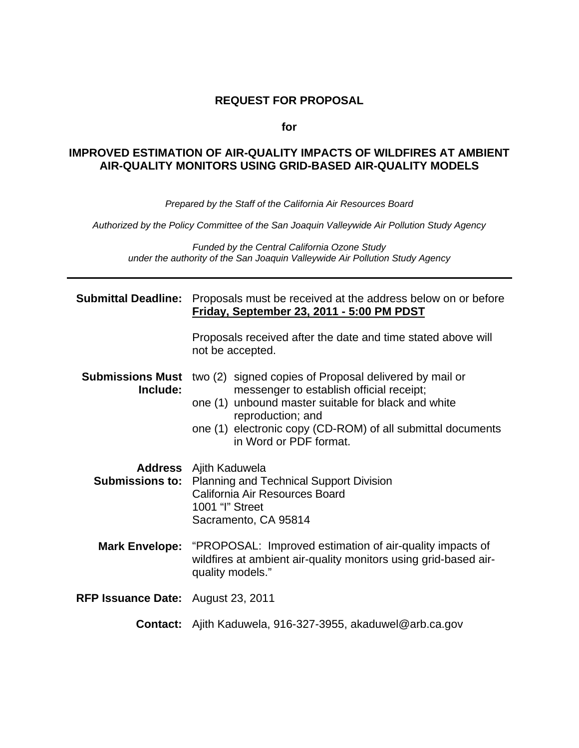#### **REQUEST FOR PROPOSAL**

#### **for**

#### **IMPROVED ESTIMATION OF AIR-QUALITY IMPACTS OF WILDFIRES AT AMBIENT AIR-QUALITY MONITORS USING GRID-BASED AIR-QUALITY MODELS**

*Prepared by the Staff of the California Air Resources Board* 

*Authorized by the Policy Committee of the San Joaquin Valleywide Air Pollution Study Agency* 

*Funded by the Central California Ozone Study under the authority of the San Joaquin Valleywide Air Pollution Study Agency* 

| <b>Submittal Deadline:</b>                | Proposals must be received at the address below on or before<br>Friday, September 23, 2011 - 5:00 PM PDST                                                                                                                                                               |  |
|-------------------------------------------|-------------------------------------------------------------------------------------------------------------------------------------------------------------------------------------------------------------------------------------------------------------------------|--|
|                                           | Proposals received after the date and time stated above will<br>not be accepted.                                                                                                                                                                                        |  |
| <b>Submissions Must</b><br>Include:       | two (2) signed copies of Proposal delivered by mail or<br>messenger to establish official receipt;<br>one (1) unbound master suitable for black and white<br>reproduction; and<br>one (1) electronic copy (CD-ROM) of all submittal documents<br>in Word or PDF format. |  |
|                                           | <b>Address</b> Ajith Kaduwela<br><b>Submissions to:</b> Planning and Technical Support Division<br>California Air Resources Board<br>1001 "I" Street<br>Sacramento, CA 95814                                                                                            |  |
|                                           | <b>Mark Envelope:</b> "PROPOSAL: Improved estimation of air-quality impacts of<br>wildfires at ambient air-quality monitors using grid-based air-<br>quality models."                                                                                                   |  |
| <b>RFP Issuance Date:</b> August 23, 2011 |                                                                                                                                                                                                                                                                         |  |
|                                           | <b>Contact:</b> Ajith Kaduwela, 916-327-3955, akaduwel@arb.ca.gov                                                                                                                                                                                                       |  |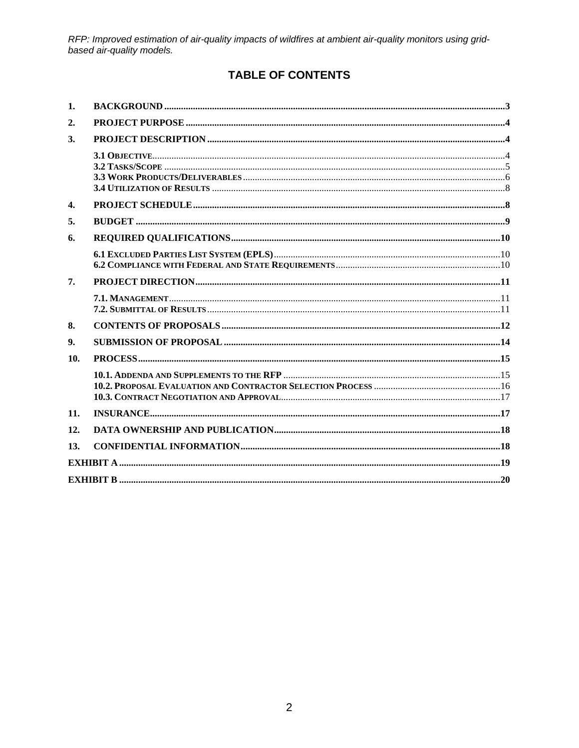# **TABLE OF CONTENTS**

| 1.               |  |
|------------------|--|
| $\overline{2}$ . |  |
| 3.               |  |
|                  |  |
| $\mathbf{4}$     |  |
| 5.               |  |
| 6.               |  |
|                  |  |
| 7.               |  |
|                  |  |
| 8.               |  |
| 9.               |  |
| 10.              |  |
|                  |  |
| 11.              |  |
| 12.              |  |
| 13.              |  |
|                  |  |
|                  |  |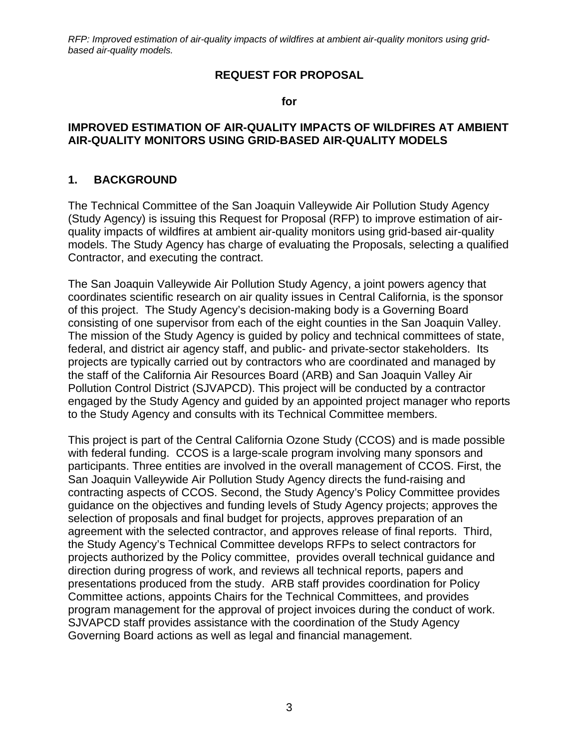#### **REQUEST FOR PROPOSAL**

**for** 

#### **IMPROVED ESTIMATION OF AIR-QUALITY IMPACTS OF WILDFIRES AT AMBIENT AIR-QUALITY MONITORS USING GRID-BASED AIR-QUALITY MODELS**

#### <span id="page-2-0"></span>**1. BACKGROUND**

The Technical Committee of the San Joaquin Valleywide Air Pollution Study Agency (Study Agency) is issuing this Request for Proposal (RFP) to improve estimation of airquality impacts of wildfires at ambient air-quality monitors using grid-based air-quality models. The Study Agency has charge of evaluating the Proposals, selecting a qualified Contractor, and executing the contract.

The San Joaquin Valleywide Air Pollution Study Agency, a joint powers agency that coordinates scientific research on air quality issues in Central California, is the sponsor of this project. The Study Agency's decision-making body is a Governing Board consisting of one supervisor from each of the eight counties in the San Joaquin Valley. The mission of the Study Agency is guided by policy and technical committees of state, federal, and district air agency staff, and public- and private-sector stakeholders. Its projects are typically carried out by contractors who are coordinated and managed by the staff of the California Air Resources Board (ARB) and San Joaquin Valley Air Pollution Control District (SJVAPCD). This project will be conducted by a contractor engaged by the Study Agency and guided by an appointed project manager who reports to the Study Agency and consults with its Technical Committee members.

This project is part of the Central California Ozone Study (CCOS) and is made possible with federal funding. CCOS is a large-scale program involving many sponsors and participants. Three entities are involved in the overall management of CCOS. First, the San Joaquin Valleywide Air Pollution Study Agency directs the fund-raising and contracting aspects of CCOS. Second, the Study Agency's Policy Committee provides guidance on the objectives and funding levels of Study Agency projects; approves the selection of proposals and final budget for projects, approves preparation of an agreement with the selected contractor, and approves release of final reports. Third, the Study Agency's Technical Committee develops RFPs to select contractors for projects authorized by the Policy committee, provides overall technical guidance and direction during progress of work, and reviews all technical reports, papers and presentations produced from the study. ARB staff provides coordination for Policy Committee actions, appoints Chairs for the Technical Committees, and provides program management for the approval of project invoices during the conduct of work. SJVAPCD staff provides assistance with the coordination of the Study Agency Governing Board actions as well as legal and financial management.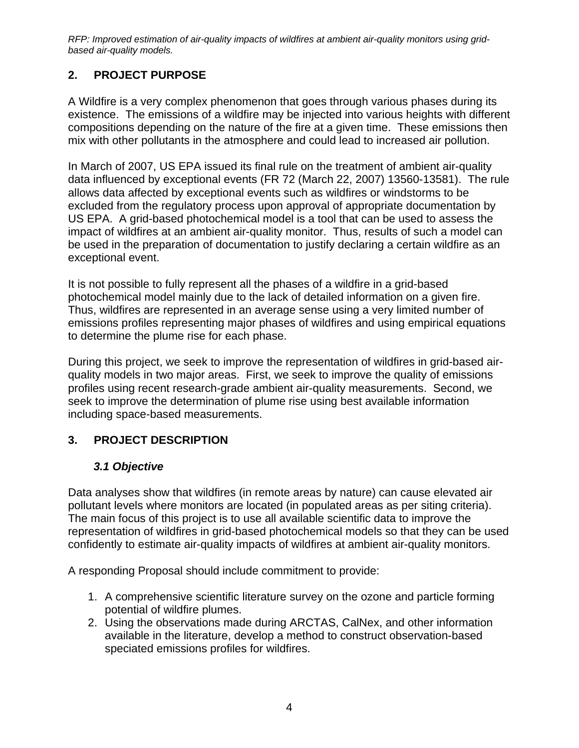# <span id="page-3-0"></span>**2. PROJECT PURPOSE**

A Wildfire is a very complex phenomenon that goes through various phases during its existence. The emissions of a wildfire may be injected into various heights with different compositions depending on the nature of the fire at a given time. These emissions then mix with other pollutants in the atmosphere and could lead to increased air pollution.

In March of 2007, US EPA issued its final rule on the treatment of ambient air-quality data influenced by exceptional events (FR 72 (March 22, 2007) 13560-13581). The rule allows data affected by exceptional events such as wildfires or windstorms to be excluded from the regulatory process upon approval of appropriate documentation by US EPA. A grid-based photochemical model is a tool that can be used to assess the impact of wildfires at an ambient air-quality monitor. Thus, results of such a model can be used in the preparation of documentation to justify declaring a certain wildfire as an exceptional event.

It is not possible to fully represent all the phases of a wildfire in a grid-based photochemical model mainly due to the lack of detailed information on a given fire. Thus, wildfires are represented in an average sense using a very limited number of emissions profiles representing major phases of wildfires and using empirical equations to determine the plume rise for each phase.

During this project, we seek to improve the representation of wildfires in grid-based airquality models in two major areas. First, we seek to improve the quality of emissions profiles using recent research-grade ambient air-quality measurements. Second, we seek to improve the determination of plume rise using best available information including space-based measurements.

# <span id="page-3-1"></span>**3. PROJECT DESCRIPTION**

## *3.1 Objective*

<span id="page-3-2"></span>Data analyses show that wildfires (in remote areas by nature) can cause elevated air pollutant levels where monitors are located (in populated areas as per siting criteria). The main focus of this project is to use all available scientific data to improve the representation of wildfires in grid-based photochemical models so that they can be used confidently to estimate air-quality impacts of wildfires at ambient air-quality monitors.

A responding Proposal should include commitment to provide:

- 1. A comprehensive scientific literature survey on the ozone and particle forming potential of wildfire plumes.
- 2. Using the observations made during ARCTAS, CalNex, and other information available in the literature, develop a method to construct observation-based speciated emissions profiles for wildfires.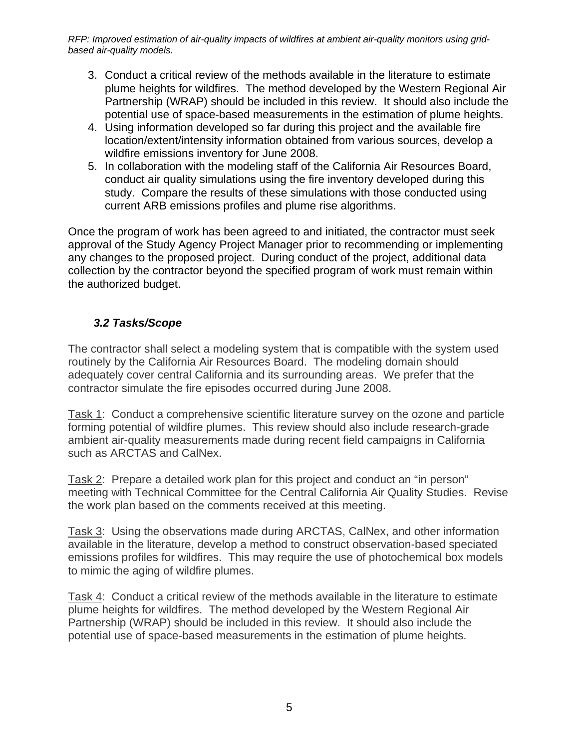- 3. Conduct a critical review of the methods available in the literature to estimate plume heights for wildfires. The method developed by the Western Regional Air Partnership (WRAP) should be included in this review. It should also include the potential use of space-based measurements in the estimation of plume heights.
- 4. Using information developed so far during this project and the available fire location/extent/intensity information obtained from various sources, develop a wildfire emissions inventory for June 2008.
- 5. In collaboration with the modeling staff of the California Air Resources Board, conduct air quality simulations using the fire inventory developed during this study. Compare the results of these simulations with those conducted using current ARB emissions profiles and plume rise algorithms.

Once the program of work has been agreed to and initiated, the contractor must seek approval of the Study Agency Project Manager prior to recommending or implementing any changes to the proposed project. During conduct of the project, additional data collection by the contractor beyond the specified program of work must remain within the authorized budget.

## *3.2 Tasks/Scope*

<span id="page-4-0"></span>The contractor shall select a modeling system that is compatible with the system used routinely by the California Air Resources Board. The modeling domain should adequately cover central California and its surrounding areas. We prefer that the contractor simulate the fire episodes occurred during June 2008.

Task 1: Conduct a comprehensive scientific literature survey on the ozone and particle forming potential of wildfire plumes. This review should also include research-grade ambient air-quality measurements made during recent field campaigns in California such as ARCTAS and CalNex.

Task 2: Prepare a detailed work plan for this project and conduct an "in person" meeting with Technical Committee for the Central California Air Quality Studies. Revise the work plan based on the comments received at this meeting.

Task 3: Using the observations made during ARCTAS, CalNex, and other information available in the literature, develop a method to construct observation-based speciated emissions profiles for wildfires. This may require the use of photochemical box models to mimic the aging of wildfire plumes.

Task 4: Conduct a critical review of the methods available in the literature to estimate plume heights for wildfires. The method developed by the Western Regional Air Partnership (WRAP) should be included in this review. It should also include the potential use of space-based measurements in the estimation of plume heights.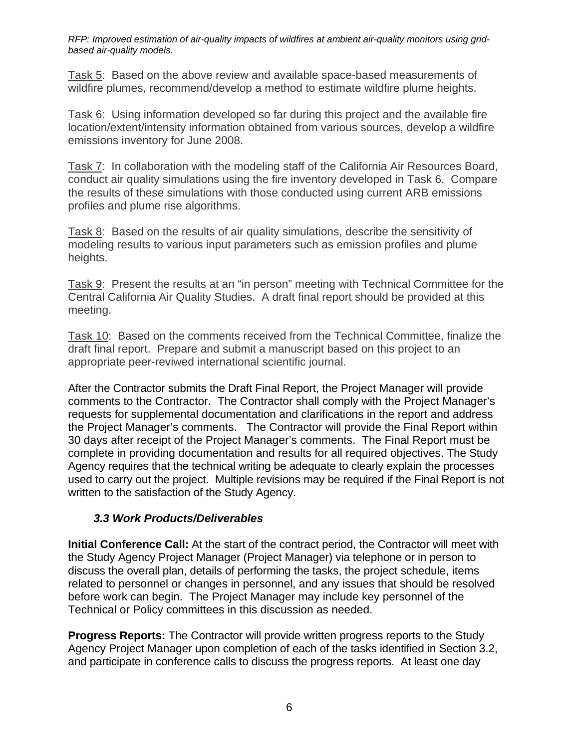Task 5: Based on the above review and available space-based measurements of wildfire plumes, recommend/develop a method to estimate wildfire plume heights.

Task 6: Using information developed so far during this project and the available fire location/extent/intensity information obtained from various sources, develop a wildfire emissions inventory for June 2008.

Task 7: In collaboration with the modeling staff of the California Air Resources Board, conduct air quality simulations using the fire inventory developed in Task 6. Compare the results of these simulations with those conducted using current ARB emissions profiles and plume rise algorithms.

Task 8: Based on the results of air quality simulations, describe the sensitivity of modeling results to various input parameters such as emission profiles and plume heights.

Task 9: Present the results at an "in person" meeting with Technical Committee for the Central California Air Quality Studies. A draft final report should be provided at this meeting.

Task 10: Based on the comments received from the Technical Committee, finalize the draft final report. Prepare and submit a manuscript based on this project to an appropriate peer-reviwed international scientific journal.

After the Contractor submits the Draft Final Report, the Project Manager will provide comments to the Contractor. The Contractor shall comply with the Project Manager's requests for supplemental documentation and clarifications in the report and address the Project Manager's comments. The Contractor will provide the Final Report within 30 days after receipt of the Project Manager's comments. The Final Report must be complete in providing documentation and results for all required objectives. The Study Agency requires that the technical writing be adequate to clearly explain the processes used to carry out the project. Multiple revisions may be required if the Final Report is not written to the satisfaction of the Study Agency.

## *3.3 Work Products/Deliverables*

<span id="page-5-0"></span>**Initial Conference Call:** At the start of the contract period, the Contractor will meet with the Study Agency Project Manager (Project Manager) via telephone or in person to discuss the overall plan, details of performing the tasks, the project schedule, items related to personnel or changes in personnel, and any issues that should be resolved before work can begin. The Project Manager may include key personnel of the Technical or Policy committees in this discussion as needed.

**Progress Reports:** The Contractor will provide written progress reports to the Study Agency Project Manager upon completion of each of the tasks identified in Section 3.2, and participate in conference calls to discuss the progress reports. At least one day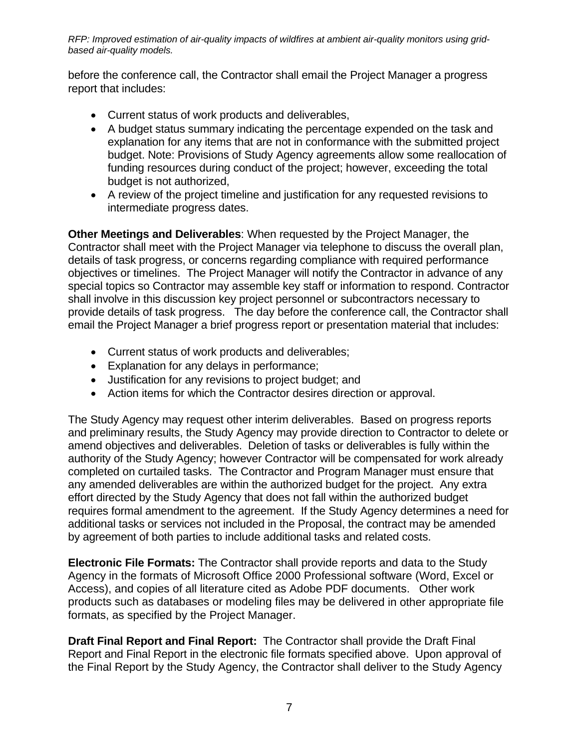before the conference call, the Contractor shall email the Project Manager a progress report that includes:

- Current status of work products and deliverables,
- A budget status summary indicating the percentage expended on the task and explanation for any items that are not in conformance with the submitted project budget. Note: Provisions of Study Agency agreements allow some reallocation of funding resources during conduct of the project; however, exceeding the total budget is not authorized,
- A review of the project timeline and justification for any requested revisions to intermediate progress dates.

**Other Meetings and Deliverables**: When requested by the Project Manager, the Contractor shall meet with the Project Manager via telephone to discuss the overall plan, details of task progress, or concerns regarding compliance with required performance objectives or timelines. The Project Manager will notify the Contractor in advance of any special topics so Contractor may assemble key staff or information to respond. Contractor shall involve in this discussion key project personnel or subcontractors necessary to provide details of task progress. The day before the conference call, the Contractor shall email the Project Manager a brief progress report or presentation material that includes:

- Current status of work products and deliverables;
- Explanation for any delays in performance;
- Justification for any revisions to project budget; and
- Action items for which the Contractor desires direction or approval.

The Study Agency may request other interim deliverables. Based on progress reports and preliminary results, the Study Agency may provide direction to Contractor to delete or amend objectives and deliverables. Deletion of tasks or deliverables is fully within the authority of the Study Agency; however Contractor will be compensated for work already completed on curtailed tasks. The Contractor and Program Manager must ensure that any amended deliverables are within the authorized budget for the project. Any extra effort directed by the Study Agency that does not fall within the authorized budget requires formal amendment to the agreement. If the Study Agency determines a need for additional tasks or services not included in the Proposal, the contract may be amended by agreement of both parties to include additional tasks and related costs.

**Electronic File Formats:** The Contractor shall provide reports and data to the Study Agency in the formats of Microsoft Office 2000 Professional software (Word, Excel or Access), and copies of all literature cited as Adobe PDF documents. Other work products such as databases or modeling files may be delivered in other appropriate file formats, as specified by the Project Manager.

**Draft Final Report and Final Report:** The Contractor shall provide the Draft Final Report and Final Report in the electronic file formats specified above. Upon approval of the Final Report by the Study Agency, the Contractor shall deliver to the Study Agency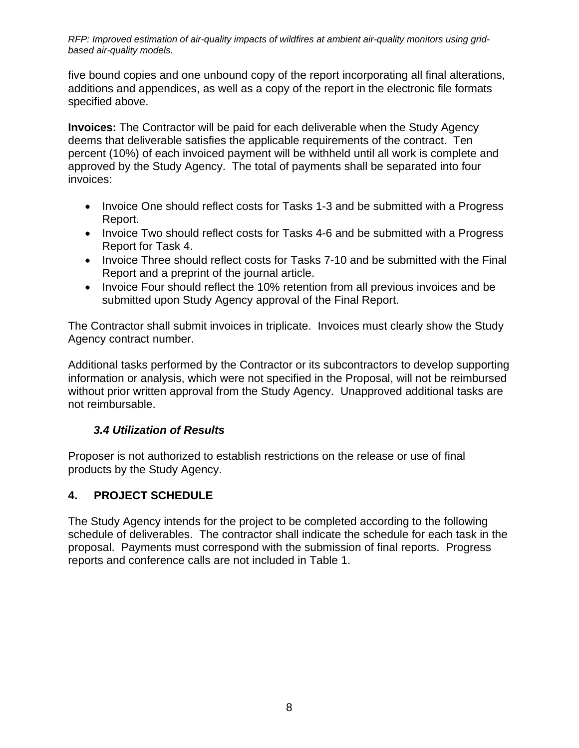five bound copies and one unbound copy of the report incorporating all final alterations, additions and appendices, as well as a copy of the report in the electronic file formats specified above.

**Invoices:** The Contractor will be paid for each deliverable when the Study Agency deems that deliverable satisfies the applicable requirements of the contract. Ten percent (10%) of each invoiced payment will be withheld until all work is complete and approved by the Study Agency. The total of payments shall be separated into four invoices:

- Invoice One should reflect costs for Tasks 1-3 and be submitted with a Progress Report.
- Invoice Two should reflect costs for Tasks 4-6 and be submitted with a Progress Report for Task 4.
- Invoice Three should reflect costs for Tasks 7-10 and be submitted with the Final Report and a preprint of the journal article.
- Invoice Four should reflect the 10% retention from all previous invoices and be submitted upon Study Agency approval of the Final Report.

The Contractor shall submit invoices in triplicate. Invoices must clearly show the Study Agency contract number.

Additional tasks performed by the Contractor or its subcontractors to develop supporting information or analysis, which were not specified in the Proposal, will not be reimbursed without prior written approval from the Study Agency. Unapproved additional tasks are not reimbursable.

## *3.4 Utilization of Results*

<span id="page-7-0"></span>Proposer is not authorized to establish restrictions on the release or use of final products by the Study Agency.

## <span id="page-7-1"></span>**4. PROJECT SCHEDULE**

The Study Agency intends for the project to be completed according to the following schedule of deliverables. The contractor shall indicate the schedule for each task in the proposal. Payments must correspond with the submission of final reports. Progress reports and conference calls are not included in Table 1.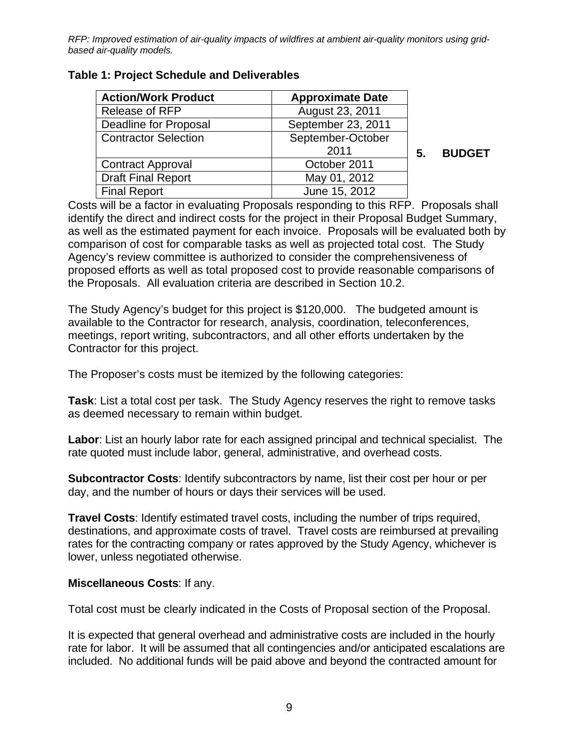| <b>Action/Work Product</b>  | <b>Approximate Date</b> |   |
|-----------------------------|-------------------------|---|
| <b>Release of RFP</b>       | August 23, 2011         |   |
| Deadline for Proposal       | September 23, 2011      |   |
| <b>Contractor Selection</b> | September-October       |   |
|                             | 2011                    | 5 |
| <b>Contract Approval</b>    | October 2011            |   |
| <b>Draft Final Report</b>   | May 01, 2012            |   |
| <b>Final Report</b>         | June 15, 2012           |   |

**Table 1: Project Schedule and Deliverables** 

**5. BUDGET** 

<span id="page-8-0"></span>Costs will be a factor in evaluating Proposals responding to this RFP. Proposals shall identify the direct and indirect costs for the project in their Proposal Budget Summary, as well as the estimated payment for each invoice. Proposals will be evaluated both by comparison of cost for comparable tasks as well as projected total cost. The Study Agency's review committee is authorized to consider the comprehensiveness of proposed efforts as well as total proposed cost to provide reasonable comparisons of the Proposals. All evaluation criteria are described in Section 10.2.

The Study Agency's budget for this project is \$120,000. The budgeted amount is available to the Contractor for research, analysis, coordination, teleconferences, meetings, report writing, subcontractors, and all other efforts undertaken by the Contractor for this project.

The Proposer's costs must be itemized by the following categories:

**Task**: List a total cost per task. The Study Agency reserves the right to remove tasks as deemed necessary to remain within budget.

**Labor**: List an hourly labor rate for each assigned principal and technical specialist. The rate quoted must include labor, general, administrative, and overhead costs.

**Subcontractor Costs**: Identify subcontractors by name, list their cost per hour or per day, and the number of hours or days their services will be used.

**Travel Costs**: Identify estimated travel costs, including the number of trips required, destinations, and approximate costs of travel. Travel costs are reimbursed at prevailing rates for the contracting company or rates approved by the Study Agency, whichever is lower, unless negotiated otherwise.

#### **Miscellaneous Costs**: If any.

Total cost must be clearly indicated in the Costs of Proposal section of the Proposal.

It is expected that general overhead and administrative costs are included in the hourly rate for labor. It will be assumed that all contingencies and/or anticipated escalations are included. No additional funds will be paid above and beyond the contracted amount for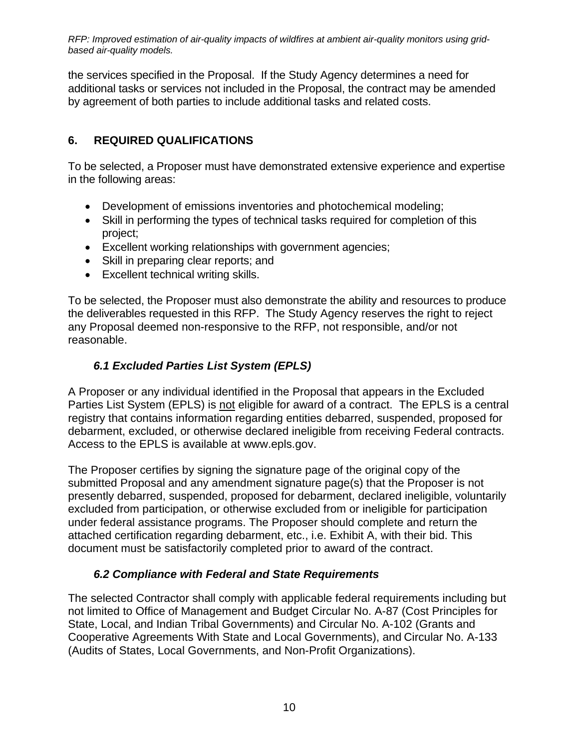the services specified in the Proposal. If the Study Agency determines a need for additional tasks or services not included in the Proposal, the contract may be amended by agreement of both parties to include additional tasks and related costs.

# <span id="page-9-0"></span>**6. REQUIRED QUALIFICATIONS**

To be selected, a Proposer must have demonstrated extensive experience and expertise in the following areas:

- Development of emissions inventories and photochemical modeling;
- Skill in performing the types of technical tasks required for completion of this project;
- Excellent working relationships with government agencies;
- Skill in preparing clear reports; and
- Excellent technical writing skills.

To be selected, the Proposer must also demonstrate the ability and resources to produce the deliverables requested in this RFP. The Study Agency reserves the right to reject any Proposal deemed non-responsive to the RFP, not responsible, and/or not reasonable.

# *6.1 Excluded Parties List System (EPLS)*

<span id="page-9-1"></span>A Proposer or any individual identified in the Proposal that appears in the Excluded Parties List System (EPLS) is not eligible for award of a contract. The EPLS is a central registry that contains information regarding entities debarred, suspended, proposed for debarment, excluded, or otherwise declared ineligible from receiving Federal contracts. Access to the EPLS is available at www.epls.gov.

The Proposer certifies by signing the signature page of the original copy of the submitted Proposal and any amendment signature page(s) that the Proposer is not presently debarred, suspended, proposed for debarment, declared ineligible, voluntarily excluded from participation, or otherwise excluded from or ineligible for participation under federal assistance programs. The Proposer should complete and return the attached certification regarding debarment, etc., i.e. Exhibit A, with their bid. This document must be satisfactorily completed prior to award of the contract.

#### *6.2 Compliance with Federal and State Requirements*

<span id="page-9-2"></span>The selected Contractor shall comply with applicable federal requirements including but not limited to Office of Management and Budget Circular No. A-87 (Cost Principles for State, Local, and Indian Tribal Governments) and Circular No. A-102 (Grants and Cooperative Agreements With State and Local Governments), and Circular No. A-133 (Audits of States, Local Governments, and Non-Profit Organizations).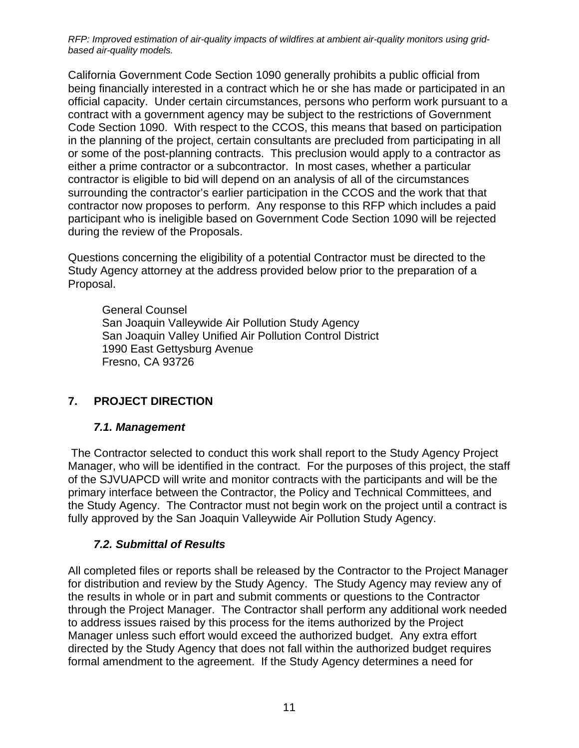California Government Code Section 1090 generally prohibits a public official from being financially interested in a contract which he or she has made or participated in an official capacity. Under certain circumstances, persons who perform work pursuant to a contract with a government agency may be subject to the restrictions of Government Code Section 1090. With respect to the CCOS, this means that based on participation in the planning of the project, certain consultants are precluded from participating in all or some of the post-planning contracts. This preclusion would apply to a contractor as either a prime contractor or a subcontractor. In most cases, whether a particular contractor is eligible to bid will depend on an analysis of all of the circumstances surrounding the contractor's earlier participation in the CCOS and the work that that contractor now proposes to perform. Any response to this RFP which includes a paid participant who is ineligible based on Government Code Section 1090 will be rejected during the review of the Proposals.

Questions concerning the eligibility of a potential Contractor must be directed to the Study Agency attorney at the address provided below prior to the preparation of a Proposal.

General Counsel San Joaquin Valleywide Air Pollution Study Agency San Joaquin Valley Unified Air Pollution Control District 1990 East Gettysburg Avenue Fresno, CA 93726

## <span id="page-10-0"></span>**7. PROJECT DIRECTION**

## *7.1. Management*

<span id="page-10-1"></span> The Contractor selected to conduct this work shall report to the Study Agency Project Manager, who will be identified in the contract. For the purposes of this project, the staff of the SJVUAPCD will write and monitor contracts with the participants and will be the primary interface between the Contractor, the Policy and Technical Committees, and the Study Agency. The Contractor must not begin work on the project until a contract is fully approved by the San Joaquin Valleywide Air Pollution Study Agency.

## *7.2. Submittal of Results*

<span id="page-10-2"></span>All completed files or reports shall be released by the Contractor to the Project Manager for distribution and review by the Study Agency. The Study Agency may review any of the results in whole or in part and submit comments or questions to the Contractor through the Project Manager. The Contractor shall perform any additional work needed to address issues raised by this process for the items authorized by the Project Manager unless such effort would exceed the authorized budget. Any extra effort directed by the Study Agency that does not fall within the authorized budget requires formal amendment to the agreement. If the Study Agency determines a need for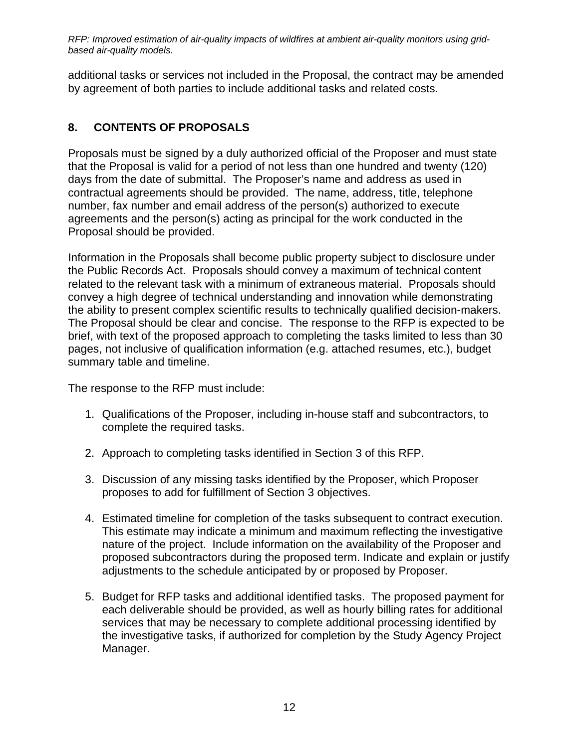additional tasks or services not included in the Proposal, the contract may be amended by agreement of both parties to include additional tasks and related costs.

# <span id="page-11-0"></span>**8. CONTENTS OF PROPOSALS**

Proposals must be signed by a duly authorized official of the Proposer and must state that the Proposal is valid for a period of not less than one hundred and twenty (120) days from the date of submittal. The Proposer's name and address as used in contractual agreements should be provided. The name, address, title, telephone number, fax number and email address of the person(s) authorized to execute agreements and the person(s) acting as principal for the work conducted in the Proposal should be provided.

Information in the Proposals shall become public property subject to disclosure under the Public Records Act. Proposals should convey a maximum of technical content related to the relevant task with a minimum of extraneous material. Proposals should convey a high degree of technical understanding and innovation while demonstrating the ability to present complex scientific results to technically qualified decision-makers. The Proposal should be clear and concise. The response to the RFP is expected to be brief, with text of the proposed approach to completing the tasks limited to less than 30 pages, not inclusive of qualification information (e.g. attached resumes, etc.), budget summary table and timeline.

The response to the RFP must include:

- 1. Qualifications of the Proposer, including in-house staff and subcontractors, to complete the required tasks.
- 2. Approach to completing tasks identified in Section 3 of this RFP.
- 3. Discussion of any missing tasks identified by the Proposer, which Proposer proposes to add for fulfillment of Section 3 objectives.
- 4. Estimated timeline for completion of the tasks subsequent to contract execution. This estimate may indicate a minimum and maximum reflecting the investigative nature of the project. Include information on the availability of the Proposer and proposed subcontractors during the proposed term. Indicate and explain or justify adjustments to the schedule anticipated by or proposed by Proposer.
- 5. Budget for RFP tasks and additional identified tasks. The proposed payment for each deliverable should be provided, as well as hourly billing rates for additional services that may be necessary to complete additional processing identified by the investigative tasks, if authorized for completion by the Study Agency Project Manager.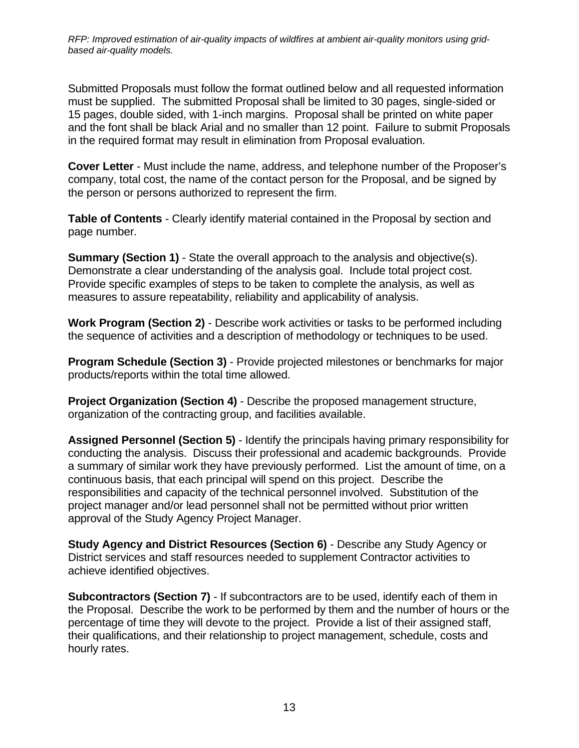Submitted Proposals must follow the format outlined below and all requested information must be supplied. The submitted Proposal shall be limited to 30 pages, single-sided or 15 pages, double sided, with 1-inch margins. Proposal shall be printed on white paper and the font shall be black Arial and no smaller than 12 point. Failure to submit Proposals in the required format may result in elimination from Proposal evaluation.

**Cover Letter** - Must include the name, address, and telephone number of the Proposer's company, total cost, the name of the contact person for the Proposal, and be signed by the person or persons authorized to represent the firm.

**Table of Contents** - Clearly identify material contained in the Proposal by section and page number.

**Summary (Section 1)** - State the overall approach to the analysis and objective(s). Demonstrate a clear understanding of the analysis goal. Include total project cost. Provide specific examples of steps to be taken to complete the analysis, as well as measures to assure repeatability, reliability and applicability of analysis.

**Work Program (Section 2)** - Describe work activities or tasks to be performed including the sequence of activities and a description of methodology or techniques to be used.

**Program Schedule (Section 3)** - Provide projected milestones or benchmarks for major products/reports within the total time allowed.

**Project Organization (Section 4)** - Describe the proposed management structure, organization of the contracting group, and facilities available.

**Assigned Personnel (Section 5)** - Identify the principals having primary responsibility for conducting the analysis. Discuss their professional and academic backgrounds. Provide a summary of similar work they have previously performed. List the amount of time, on a continuous basis, that each principal will spend on this project. Describe the responsibilities and capacity of the technical personnel involved. Substitution of the project manager and/or lead personnel shall not be permitted without prior written approval of the Study Agency Project Manager.

**Study Agency and District Resources (Section 6)** - Describe any Study Agency or District services and staff resources needed to supplement Contractor activities to achieve identified objectives.

**Subcontractors (Section 7)** - If subcontractors are to be used, identify each of them in the Proposal. Describe the work to be performed by them and the number of hours or the percentage of time they will devote to the project. Provide a list of their assigned staff, their qualifications, and their relationship to project management, schedule, costs and hourly rates.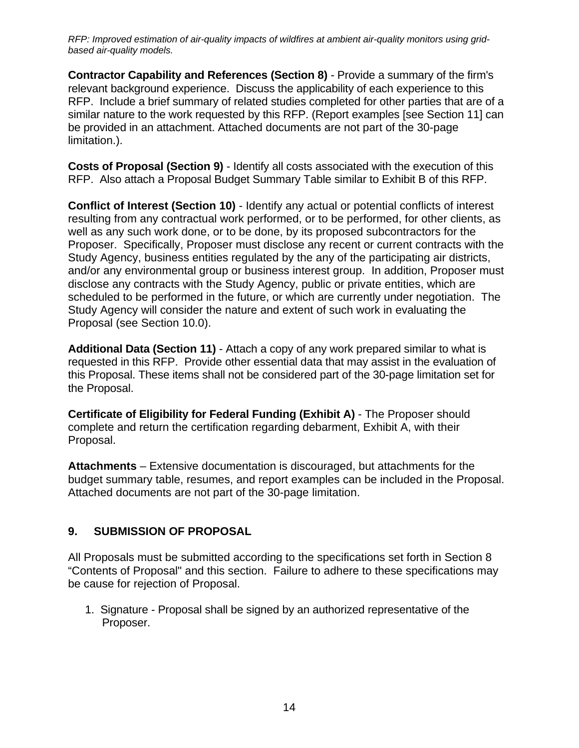**Contractor Capability and References (Section 8)** - Provide a summary of the firm's relevant background experience. Discuss the applicability of each experience to this RFP. Include a brief summary of related studies completed for other parties that are of a similar nature to the work requested by this RFP. (Report examples [see Section 11] can be provided in an attachment. Attached documents are not part of the 30-page limitation.).

**Costs of Proposal (Section 9)** - Identify all costs associated with the execution of this RFP. Also attach a Proposal Budget Summary Table similar to Exhibit B of this RFP.

**Conflict of Interest (Section 10)** - Identify any actual or potential conflicts of interest resulting from any contractual work performed, or to be performed, for other clients, as well as any such work done, or to be done, by its proposed subcontractors for the Proposer. Specifically, Proposer must disclose any recent or current contracts with the Study Agency, business entities regulated by the any of the participating air districts, and/or any environmental group or business interest group. In addition, Proposer must disclose any contracts with the Study Agency, public or private entities, which are scheduled to be performed in the future, or which are currently under negotiation. The Study Agency will consider the nature and extent of such work in evaluating the Proposal (see Section 10.0).

**Additional Data (Section 11)** - Attach a copy of any work prepared similar to what is requested in this RFP. Provide other essential data that may assist in the evaluation of this Proposal. These items shall not be considered part of the 30-page limitation set for the Proposal.

**Certificate of Eligibility for Federal Funding (Exhibit A)** - The Proposer should complete and return the certification regarding debarment, Exhibit A, with their Proposal.

**Attachments** – Extensive documentation is discouraged, but attachments for the budget summary table, resumes, and report examples can be included in the Proposal. Attached documents are not part of the 30-page limitation.

## <span id="page-13-0"></span>**9. SUBMISSION OF PROPOSAL**

All Proposals must be submitted according to the specifications set forth in Section 8 "Contents of Proposal" and this section. Failure to adhere to these specifications may be cause for rejection of Proposal.

1. Signature - Proposal shall be signed by an authorized representative of the Proposer.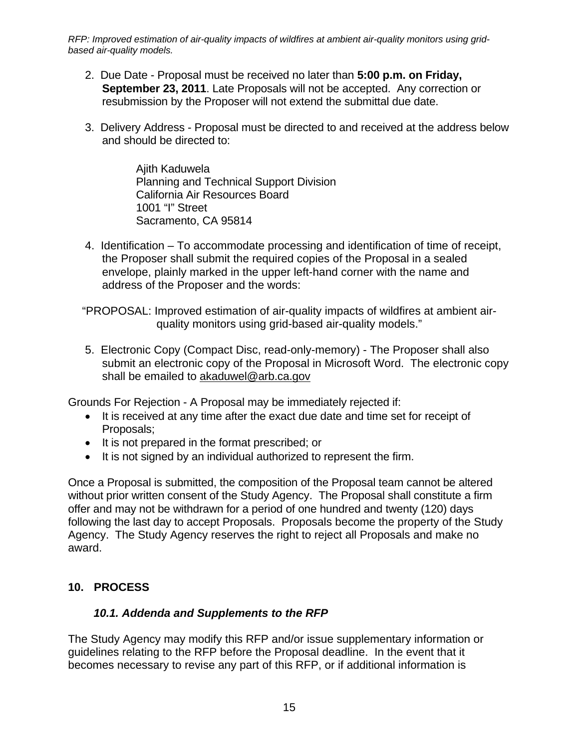- 2. Due Date Proposal must be received no later than **5:00 p.m. on Friday, September 23, 2011**. Late Proposals will not be accepted. Any correction or resubmission by the Proposer will not extend the submittal due date.
- 3. Delivery Address Proposal must be directed to and received at the address below and should be directed to:

Ajith Kaduwela Planning and Technical Support Division California Air Resources Board 1001 "I" Street Sacramento, CA 95814

4. Identification – To accommodate processing and identification of time of receipt, the Proposer shall submit the required copies of the Proposal in a sealed envelope, plainly marked in the upper left-hand corner with the name and address of the Proposer and the words:

"PROPOSAL: Improved estimation of air-quality impacts of wildfires at ambient airquality monitors using grid-based air-quality models."

5. Electronic Copy (Compact Disc, read-only-memory) - The Proposer shall also submit an electronic copy of the Proposal in Microsoft Word. The electronic copy shall be emailed to akaduwel@arb.ca.gov

Grounds For Rejection - A Proposal may be immediately rejected if:

- It is received at any time after the exact due date and time set for receipt of Proposals;
- It is not prepared in the format prescribed; or
- It is not signed by an individual authorized to represent the firm.

Once a Proposal is submitted, the composition of the Proposal team cannot be altered without prior written consent of the Study Agency. The Proposal shall constitute a firm offer and may not be withdrawn for a period of one hundred and twenty (120) days following the last day to accept Proposals. Proposals become the property of the Study Agency. The Study Agency reserves the right to reject all Proposals and make no award.

#### <span id="page-14-0"></span>**10. PROCESS**

#### *10.1. Addenda and Supplements to the RFP*

<span id="page-14-1"></span>The Study Agency may modify this RFP and/or issue supplementary information or guidelines relating to the RFP before the Proposal deadline. In the event that it becomes necessary to revise any part of this RFP, or if additional information is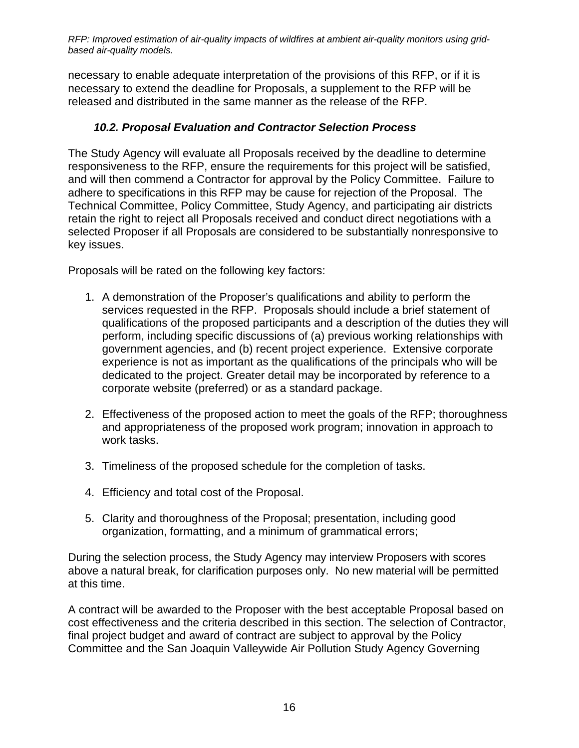necessary to enable adequate interpretation of the provisions of this RFP, or if it is necessary to extend the deadline for Proposals, a supplement to the RFP will be released and distributed in the same manner as the release of the RFP.

#### *10.2. Proposal Evaluation and Contractor Selection Process*

<span id="page-15-0"></span>The Study Agency will evaluate all Proposals received by the deadline to determine responsiveness to the RFP, ensure the requirements for this project will be satisfied, and will then commend a Contractor for approval by the Policy Committee. Failure to adhere to specifications in this RFP may be cause for rejection of the Proposal. The Technical Committee, Policy Committee, Study Agency, and participating air districts retain the right to reject all Proposals received and conduct direct negotiations with a selected Proposer if all Proposals are considered to be substantially nonresponsive to key issues.

Proposals will be rated on the following key factors:

- 1. A demonstration of the Proposer's qualifications and ability to perform the services requested in the RFP. Proposals should include a brief statement of qualifications of the proposed participants and a description of the duties they will perform, including specific discussions of (a) previous working relationships with government agencies, and (b) recent project experience. Extensive corporate experience is not as important as the qualifications of the principals who will be dedicated to the project. Greater detail may be incorporated by reference to a corporate website (preferred) or as a standard package.
- 2. Effectiveness of the proposed action to meet the goals of the RFP; thoroughness and appropriateness of the proposed work program; innovation in approach to work tasks.
- 3. Timeliness of the proposed schedule for the completion of tasks.
- 4. Efficiency and total cost of the Proposal.
- 5. Clarity and thoroughness of the Proposal; presentation, including good organization, formatting, and a minimum of grammatical errors;

During the selection process, the Study Agency may interview Proposers with scores above a natural break, for clarification purposes only. No new material will be permitted at this time.

A contract will be awarded to the Proposer with the best acceptable Proposal based on cost effectiveness and the criteria described in this section. The selection of Contractor, final project budget and award of contract are subject to approval by the Policy Committee and the San Joaquin Valleywide Air Pollution Study Agency Governing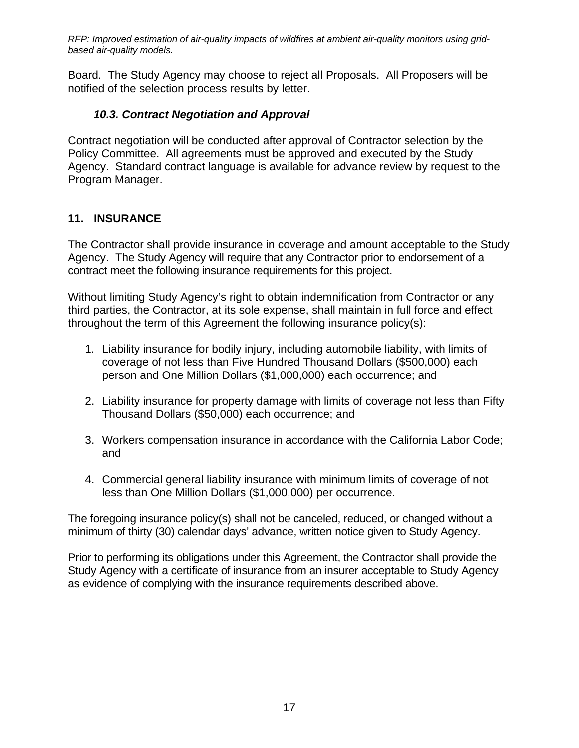Board. The Study Agency may choose to reject all Proposals. All Proposers will be notified of the selection process results by letter.

#### *10.3. Contract Negotiation and Approval*

<span id="page-16-0"></span>Contract negotiation will be conducted after approval of Contractor selection by the Policy Committee. All agreements must be approved and executed by the Study Agency. Standard contract language is available for advance review by request to the Program Manager.

#### <span id="page-16-1"></span>**11. INSURANCE**

The Contractor shall provide insurance in coverage and amount acceptable to the Study Agency. The Study Agency will require that any Contractor prior to endorsement of a contract meet the following insurance requirements for this project.

Without limiting Study Agency's right to obtain indemnification from Contractor or any third parties, the Contractor, at its sole expense, shall maintain in full force and effect throughout the term of this Agreement the following insurance policy(s):

- 1. Liability insurance for bodily injury, including automobile liability, with limits of coverage of not less than Five Hundred Thousand Dollars (\$500,000) each person and One Million Dollars (\$1,000,000) each occurrence; and
- 2. Liability insurance for property damage with limits of coverage not less than Fifty Thousand Dollars (\$50,000) each occurrence; and
- 3. Workers compensation insurance in accordance with the California Labor Code; and
- 4. Commercial general liability insurance with minimum limits of coverage of not less than One Million Dollars (\$1,000,000) per occurrence.

The foregoing insurance policy(s) shall not be canceled, reduced, or changed without a minimum of thirty (30) calendar days' advance, written notice given to Study Agency.

Prior to performing its obligations under this Agreement, the Contractor shall provide the Study Agency with a certificate of insurance from an insurer acceptable to Study Agency as evidence of complying with the insurance requirements described above.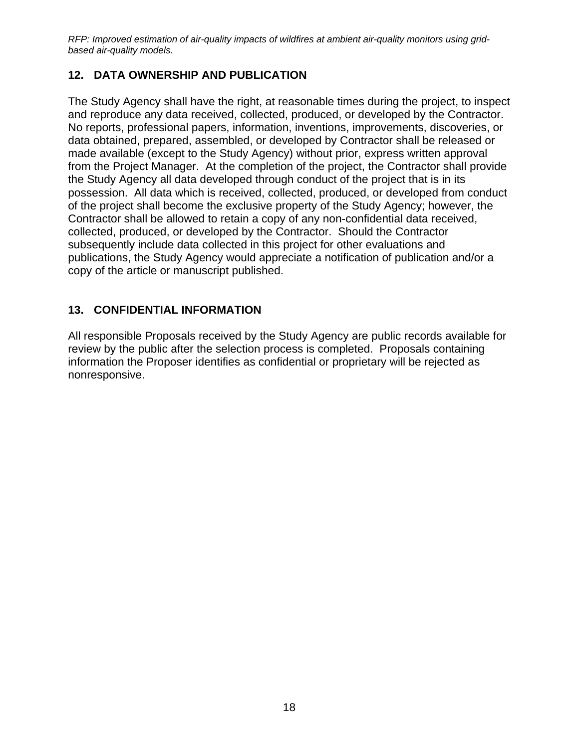## <span id="page-17-0"></span>**12. DATA OWNERSHIP AND PUBLICATION**

The Study Agency shall have the right, at reasonable times during the project, to inspect and reproduce any data received, collected, produced, or developed by the Contractor. No reports, professional papers, information, inventions, improvements, discoveries, or data obtained, prepared, assembled, or developed by Contractor shall be released or made available (except to the Study Agency) without prior, express written approval from the Project Manager. At the completion of the project, the Contractor shall provide the Study Agency all data developed through conduct of the project that is in its possession. All data which is received, collected, produced, or developed from conduct of the project shall become the exclusive property of the Study Agency; however, the Contractor shall be allowed to retain a copy of any non-confidential data received, collected, produced, or developed by the Contractor. Should the Contractor subsequently include data collected in this project for other evaluations and publications, the Study Agency would appreciate a notification of publication and/or a copy of the article or manuscript published.

#### <span id="page-17-1"></span>**13. CONFIDENTIAL INFORMATION**

All responsible Proposals received by the Study Agency are public records available for review by the public after the selection process is completed. Proposals containing information the Proposer identifies as confidential or proprietary will be rejected as nonresponsive.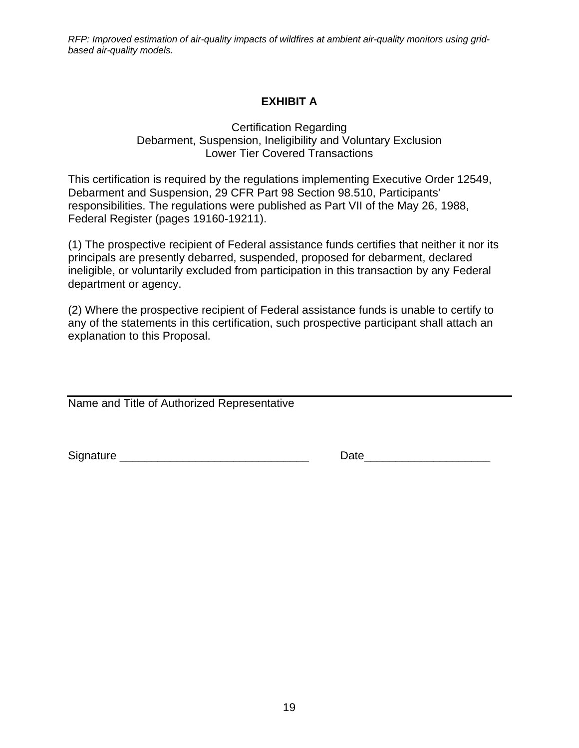# **EXHIBIT A**

#### Certification Regarding Debarment, Suspension, Ineligibility and Voluntary Exclusion Lower Tier Covered Transactions

<span id="page-18-0"></span>This certification is required by the regulations implementing Executive Order 12549, Debarment and Suspension, 29 CFR Part 98 Section 98.510, Participants' responsibilities. The regulations were published as Part VII of the May 26, 1988, Federal Register (pages 19160-19211).

(1) The prospective recipient of Federal assistance funds certifies that neither it nor its principals are presently debarred, suspended, proposed for debarment, declared ineligible, or voluntarily excluded from participation in this transaction by any Federal department or agency.

(2) Where the prospective recipient of Federal assistance funds is unable to certify to any of the statements in this certification, such prospective participant shall attach an explanation to this Proposal.

Name and Title of Authorized Representative

Signature \_\_\_\_\_\_\_\_\_\_\_\_\_\_\_\_\_\_\_\_\_\_\_\_\_\_\_\_\_\_ Date\_\_\_\_\_\_\_\_\_\_\_\_\_\_\_\_\_\_\_\_

| Date |  |
|------|--|
|------|--|